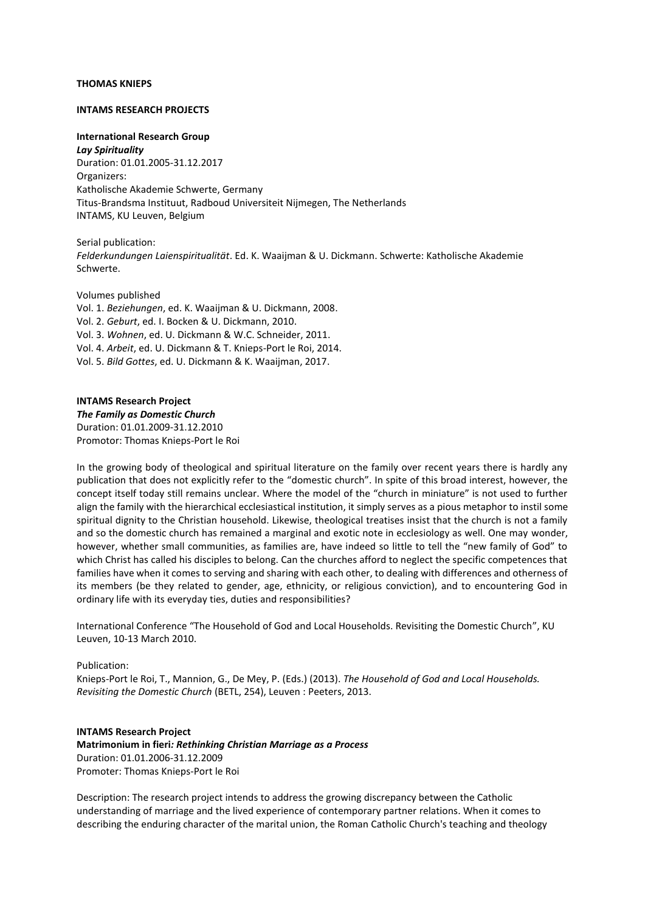### **THOMAS KNIEPS**

#### **INTAMS RESEARCH PROJECTS**

**International Research Group**  *Lay Spirituality* Duration: 01.01.2005-31.12.2017 Organizers: Katholische Akademie Schwerte, Germany Titus-Brandsma Instituut, Radboud Universiteit Nijmegen, The Netherlands INTAMS, KU Leuven, Belgium

Serial publication: *Felderkundungen Laienspiritualität*. Ed. K. Waaijman & U. Dickmann. Schwerte: Katholische Akademie Schwerte.

Volumes published Vol. 1. *Beziehungen*, ed. K. Waaijman & U. Dickmann, 2008. Vol. 2. *Geburt*, ed. I. Bocken & U. Dickmann, 2010. Vol. 3. *Wohnen*, ed. U. Dickmann & W.C. Schneider, 2011. Vol. 4. *Arbeit*, ed. U. Dickmann & T. Knieps-Port le Roi, 2014. Vol. 5. *Bild Gottes*, ed. U. Dickmann & K. Waaijman, 2017.

**INTAMS Research Project** *The Family as Domestic Church* Duration: 01.01.2009-31.12.2010 Promotor: Thomas Knieps-Port le Roi

In the growing body of theological and spiritual literature on the family over recent years there is hardly any publication that does not explicitly refer to the "domestic church". In spite of this broad interest, however, the concept itself today still remains unclear. Where the model of the "church in miniature" is not used to further align the family with the hierarchical ecclesiastical institution, it simply serves as a pious metaphor to instil some spiritual dignity to the Christian household. Likewise, theological treatises insist that the church is not a family and so the domestic church has remained a marginal and exotic note in ecclesiology as well. One may wonder, however, whether small communities, as families are, have indeed so little to tell the "new family of God" to which Christ has called his disciples to belong. Can the churches afford to neglect the specific competences that families have when it comes to serving and sharing with each other, to dealing with differences and otherness of its members (be they related to gender, age, ethnicity, or religious conviction), and to encountering God in ordinary life with its everyday ties, duties and responsibilities?

International Conference "The Household of God and Local Households. Revisiting the Domestic Church", KU Leuven, 10-13 March 2010.

#### Publication:

Knieps-Port le Roi, T., Mannion, G., De Mey, P. (Eds.) (2013). *The Household of God and Local Households. Revisiting the Domestic Church* (BETL, 254), Leuven : Peeters, 2013.

**INTAMS Research Project Matrimonium in fieri***: Rethinking Christian Marriage as a Process* Duration: 01.01.2006-31.12.2009 Promoter: Thomas Knieps-Port le Roi

Description: The research project intends to address the growing discrepancy between the Catholic understanding of marriage and the lived experience of contemporary partner relations. When it comes to describing the enduring character of the marital union, the Roman Catholic Church's teaching and theology